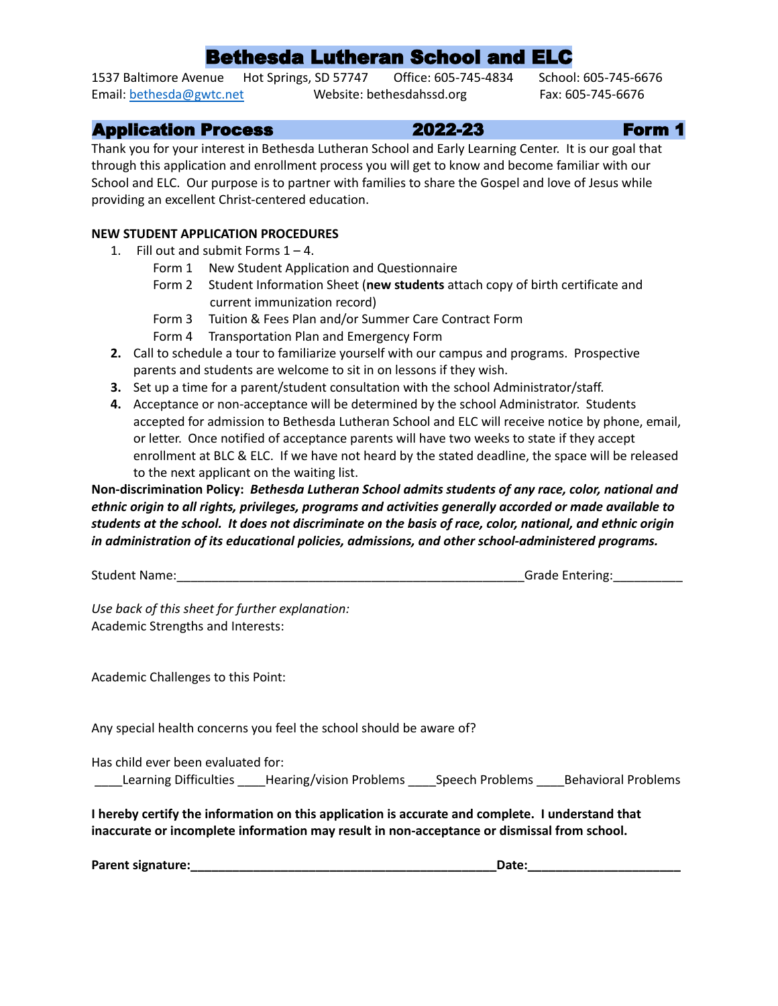1537 Baltimore Avenue Hot Springs, SD 57747 Office: 605-745-4834 School: 605-745-6676 Email: [bethesda@gwtc.net](mailto:bethesda@gwtc.net) Website: bethesdahssd.org Fax: 605-745-6676

| <b>Application Process</b> | 2022-23 | Form 1 |
|----------------------------|---------|--------|
|----------------------------|---------|--------|

Thank you for your interest in Bethesda Lutheran School and Early Learning Center. It is our goal that through this application and enrollment process you will get to know and become familiar with our School and ELC. Our purpose is to partner with families to share the Gospel and love of Jesus while providing an excellent Christ-centered education.

### **NEW STUDENT APPLICATION PROCEDURES**

- 1. Fill out and submit Forms  $1 4$ .
	- Form 1 New Student Application and Questionnaire
	- Form 2 Student Information Sheet (**new students** attach copy of birth certificate and current immunization record)
	- Form 3 Tuition & Fees Plan and/or Summer Care Contract Form
	- Form 4 Transportation Plan and Emergency Form
- **2.** Call to schedule a tour to familiarize yourself with our campus and programs. Prospective parents and students are welcome to sit in on lessons if they wish.
- **3.** Set up a time for a parent/student consultation with the school Administrator/staff.
- **4.** Acceptance or non-acceptance will be determined by the school Administrator. Students accepted for admission to Bethesda Lutheran School and ELC will receive notice by phone, email, or letter. Once notified of acceptance parents will have two weeks to state if they accept enrollment at BLC & ELC. If we have not heard by the stated deadline, the space will be released to the next applicant on the waiting list.

**Non-discrimination Policy:** *Bethesda Lutheran School admits students of any race, color, national and ethnic origin to all rights, privileges, programs and activities generally accorded or made available to* students at the school. It does not discriminate on the basis of race, color, national, and ethnic origin *in administration of its educational policies, admissions, and other school-administered programs.*

*Use back of this sheet for further explanation:* Academic Strengths and Interests:

Academic Challenges to this Point:

Any special health concerns you feel the school should be aware of?

Has child ever been evaluated for:

\_\_\_\_Learning Difficulties \_\_\_\_Hearing/vision Problems \_\_\_\_Speech Problems \_\_\_\_Behavioral Problems

**I hereby certify the information on this application is accurate and complete. I understand that inaccurate or incomplete information may result in non-acceptance or dismissal from school.**

| Parent signature: |  |
|-------------------|--|
|                   |  |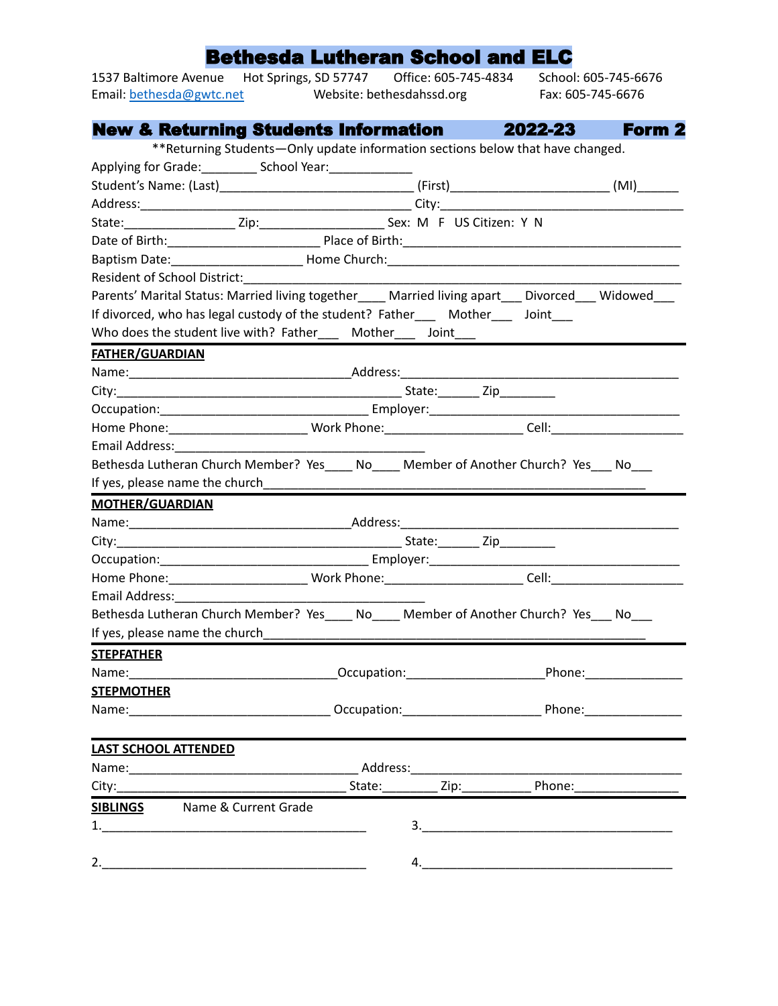1537 Baltimore Avenue Hot Springs, SD 57747 Office: 605-745-4834 School: 605-745-6676 Website: bethesdahssd.org Fax: 605-745-6676

| <b>New &amp; Returning Students Information</b>                                                                                                                                                                                                    |  | <b>2022-23</b> | Form <sub>2</sub> |
|----------------------------------------------------------------------------------------------------------------------------------------------------------------------------------------------------------------------------------------------------|--|----------------|-------------------|
| ** Returning Students—Only update information sections below that have changed.                                                                                                                                                                    |  |                |                   |
| Applying for Grade: _____________ School Year: _______________                                                                                                                                                                                     |  |                |                   |
| Student's Name: (Last)___________________________________(First)____________________________(MI)________                                                                                                                                           |  |                |                   |
|                                                                                                                                                                                                                                                    |  |                |                   |
|                                                                                                                                                                                                                                                    |  |                |                   |
|                                                                                                                                                                                                                                                    |  |                |                   |
|                                                                                                                                                                                                                                                    |  |                |                   |
| Resident of School District:                                                                                                                                                                                                                       |  |                |                   |
| Parents' Marital Status: Married living together Married living apart Divorced Widowed                                                                                                                                                             |  |                |                   |
| If divorced, who has legal custody of the student? Father___ Mother___ Joint___                                                                                                                                                                    |  |                |                   |
| Who does the student live with? Father____ Mother____ Joint___                                                                                                                                                                                     |  |                |                   |
| <b>FATHER/GUARDIAN</b>                                                                                                                                                                                                                             |  |                |                   |
|                                                                                                                                                                                                                                                    |  |                |                   |
|                                                                                                                                                                                                                                                    |  |                |                   |
|                                                                                                                                                                                                                                                    |  |                |                   |
|                                                                                                                                                                                                                                                    |  |                |                   |
|                                                                                                                                                                                                                                                    |  |                |                   |
| Bethesda Lutheran Church Member? Yes____ No____ Member of Another Church? Yes___ No___                                                                                                                                                             |  |                |                   |
| If yes, please name the church_______                                                                                                                                                                                                              |  |                |                   |
| <b>MOTHER/GUARDIAN</b>                                                                                                                                                                                                                             |  |                |                   |
|                                                                                                                                                                                                                                                    |  |                |                   |
|                                                                                                                                                                                                                                                    |  |                |                   |
|                                                                                                                                                                                                                                                    |  |                |                   |
|                                                                                                                                                                                                                                                    |  |                |                   |
| Email Address:                                                                                                                                                                                                                                     |  |                |                   |
| Bethesda Lutheran Church Member? Yes____ No____ Member of Another Church? Yes___ No___                                                                                                                                                             |  |                |                   |
|                                                                                                                                                                                                                                                    |  |                |                   |
| <b>STEPFATHER</b>                                                                                                                                                                                                                                  |  |                |                   |
| <b>CONSIDERING CONSIDERING CONSIDERING CONSIDERING CONSIDERING CONSIDERING CONSIDERING CONSIDERING CONSIDERING CONSIDERING CONSIDERING CONSIDERING CONSIDERING CONSIDERING CONSIDERING CONSIDERING CONSIDERING CONSIDERING CONSI</b><br>Name: 1988 |  |                |                   |
| <b>STEPMOTHER</b>                                                                                                                                                                                                                                  |  |                |                   |
|                                                                                                                                                                                                                                                    |  |                |                   |
| <b>LAST SCHOOL ATTENDED</b>                                                                                                                                                                                                                        |  |                |                   |
|                                                                                                                                                                                                                                                    |  |                |                   |
|                                                                                                                                                                                                                                                    |  |                |                   |
| <b>SIBLINGS</b> Name & Current Grade                                                                                                                                                                                                               |  |                |                   |
|                                                                                                                                                                                                                                                    |  |                |                   |
|                                                                                                                                                                                                                                                    |  |                |                   |
|                                                                                                                                                                                                                                                    |  |                |                   |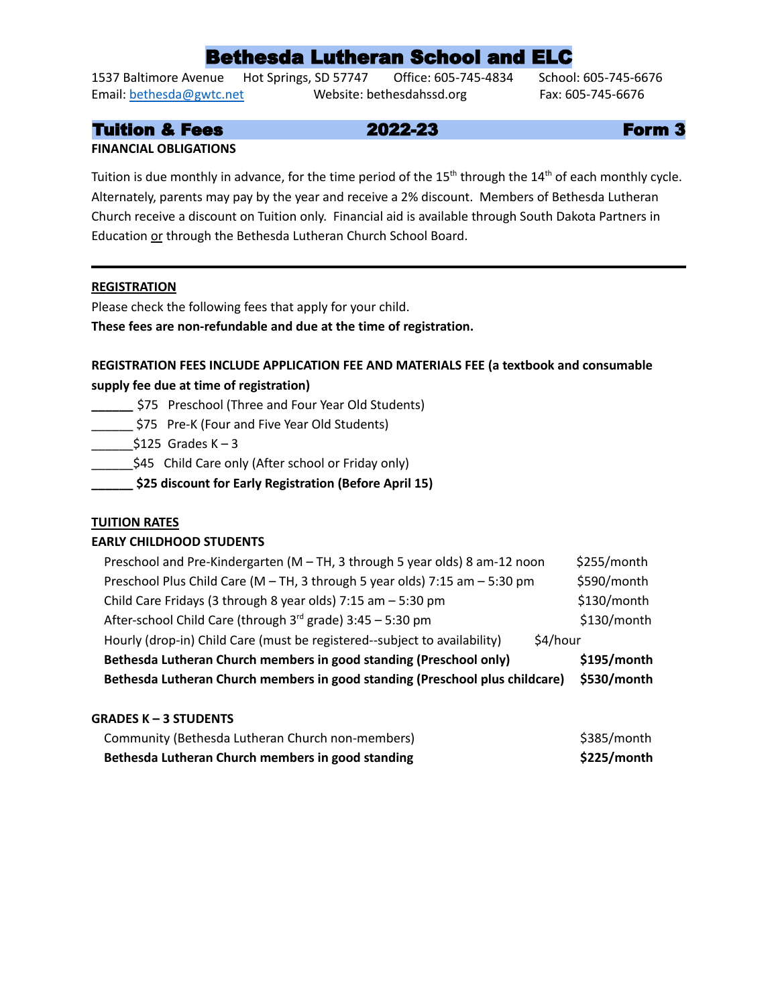1537 Baltimore Avenue Hot Springs, SD 57747 Office: 605-745-4834 School: 605-745-6676 Email: [bethesda@gwtc.net](mailto:bethesda@gwtc.net) Website: bethesdahssd.org Fax: 605-745-6676

### Tuition & Fees 2022-23 Form 3

#### **FINANCIAL OBLIGATIONS**

Tuition is due monthly in advance, for the time period of the 15<sup>th</sup> through the 14<sup>th</sup> of each monthly cycle. Alternately, parents may pay by the year and receive a 2% discount. Members of Bethesda Lutheran Church receive a discount on Tuition only. Financial aid is available through South Dakota Partners in Education or through the Bethesda Lutheran Church School Board.

#### **REGISTRATION**

Please check the following fees that apply for your child. **These fees are non-refundable and due at the time of registration.**

#### **REGISTRATION FEES INCLUDE APPLICATION FEE AND MATERIALS FEE (a textbook and consumable**

#### **supply fee due at time of registration)**

- **\_\_\_\_\_\_** \$75 Preschool (Three and Four Year Old Students)
- \_\_\_\_\_\_ \$75 Pre-K (Four and Five Year Old Students)

 $$125$  Grades K – 3

\$45 Child Care only (After school or Friday only)

**\_\_\_\_\_\_ \$25 discount for Early Registration (Before April 15)**

#### **TUITION RATES**

#### **EARLY CHILDHOOD STUDENTS**

| Preschool and Pre-Kindergarten (M - TH, 3 through 5 year olds) 8 am-12 noon           | \$255/month |
|---------------------------------------------------------------------------------------|-------------|
| Preschool Plus Child Care (M - TH, 3 through 5 year olds) 7:15 am - 5:30 pm           | \$590/month |
| Child Care Fridays (3 through 8 year olds) 7:15 am - 5:30 pm                          | \$130/month |
| After-school Child Care (through $3^{rd}$ grade) 3:45 – 5:30 pm                       | \$130/month |
| Hourly (drop-in) Child Care (must be registered--subject to availability)<br>\$4/hour |             |
| Bethesda Lutheran Church members in good standing (Preschool only)                    | \$195/month |
| Bethesda Lutheran Church members in good standing (Preschool plus childcare)          | \$530/month |

#### **GRADES K – 3 STUDENTS**

| Community (Bethesda Lutheran Church non-members)  | \$385/month |
|---------------------------------------------------|-------------|
| Bethesda Lutheran Church members in good standing | \$225/month |